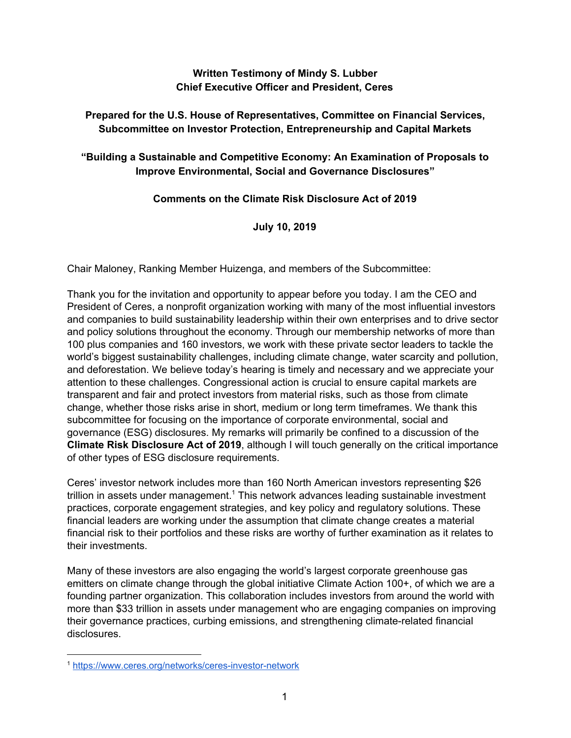### **Written Testimony of Mindy S. Lubber Chief Executive Officer and President, Ceres**

### **Prepared for the U.S. House of Representatives, Committee on Financial Services, Subcommittee on Investor Protection, Entrepreneurship and Capital Markets**

# **"Building a Sustainable and Competitive Economy: An Examination of Proposals to Improve Environmental, Social and Governance Disclosures"**

# **Comments on the Climate Risk Disclosure Act of 2019**

**July 10, 2019**

Chair Maloney, Ranking Member Huizenga, and members of the Subcommittee:

Thank you for the invitation and opportunity to appear before you today. I am the CEO and President of Ceres, a nonprofit organization working with many of the most influential investors and companies to build sustainability leadership within their own enterprises and to drive sector and policy solutions throughout the economy. Through our membership networks of more than 100 plus companies and 160 investors, we work with these private sector leaders to tackle the world's biggest sustainability challenges, including climate change, water scarcity and pollution, and deforestation. We believe today's hearing is timely and necessary and we appreciate your attention to these challenges. Congressional action is crucial to ensure capital markets are transparent and fair and protect investors from material risks, such as those from climate change, whether those risks arise in short, medium or long term timeframes. We thank this subcommittee for focusing on the importance of corporate environmental, social and governance (ESG) disclosures. My remarks will primarily be confined to a discussion of the **Climate Risk Disclosure Act of 2019**, although I will touch generally on the critical importance of other types of ESG disclosure requirements.

Ceres' investor network includes more than 160 North American investors representing \$26 trillion in assets under management.<sup>1</sup> This network advances leading sustainable investment practices, corporate engagement strategies, and key policy and regulatory solutions. These financial leaders are working under the assumption that climate change creates a material financial risk to their portfolios and these risks are worthy of further examination as it relates to their investments.

Many of these investors are also engaging the world's largest corporate greenhouse gas emitters on climate change through the global initiative Climate Action 100+, of [which](https://www.ceres.org/initiatives/climate-action-100) we are a founding partner [organization.](https://www.ceres.org/initiatives/climate-action-100) This collaboration includes investors from around the world [with](https://www.ceres.org/initiatives/climate-action-100) more than \$33 trillion in assets under [management](https://www.ceres.org/initiatives/climate-action-100) who are engaging companies on improving their governance practices, curbing emissions, and strengthening climate-related financial disclosures.

<sup>1</sup> <https://www.ceres.org/networks/ceres-investor-network>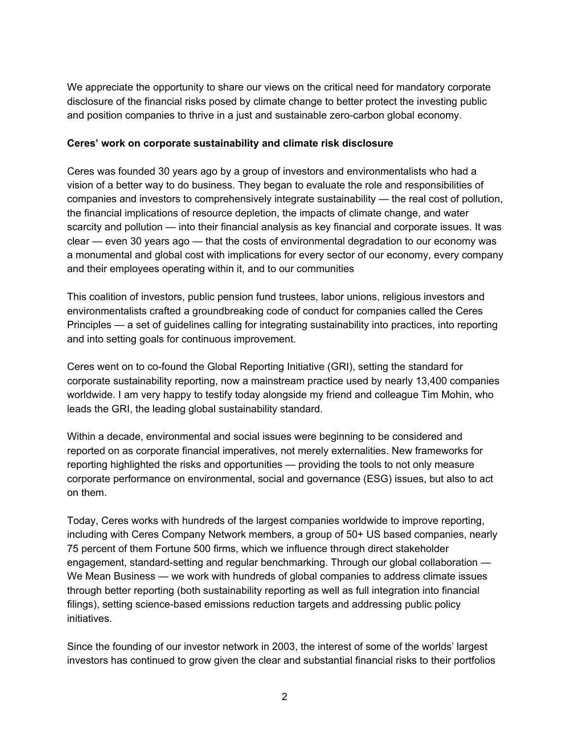We appreciate the opportunity to share our views on the critical need for mandatory corporate disclosure of the financial risks posed by climate change to better protect the investing public and position companies to thrive in a just and sustainable zero-carbon global economy.

#### **Ceres' work on corporate sustainability and climate risk disclosure**

Ceres was founded 30 years ago by a group of investors and environmentalists who had a vision of a better way to do business. They began to evaluate the role and responsibilities of companies and investors to comprehensively integrate sustainability — the real cost of pollution, the financial implications of resource depletion, the impacts of climate change, and water scarcity and pollution — into their financial analysis as key financial and corporate issues. It was clear — even 30 years ago — that the costs of environmental degradation to our economy was a monumental and global cost with implications for every sector of our economy, every company and their employees operating within it, and to our communities

This coalition of investors, public pension fund trustees, labor unions, religious investors and environmentalists crafted a groundbreaking code of conduct for companies called the Ceres Principles — a set of guidelines calling for integrating sustainability into practices, into reporting and into setting goals for continuous improvement.

Ceres went on to co-found the Global Reporting Initiative (GRI), setting the standard for corporate sustainability reporting, now a mainstream practice used by nearly 13,400 companies worldwide. I am very happy to testify today alongside my friend and colleague Tim Mohin, who leads the GRI, the leading global sustainability standard.

Within a decade, environmental and social issues were beginning to be considered and reported on as corporate financial imperatives, not merely externalities. New frameworks for reporting highlighted the risks and opportunities — providing the tools to not only measure corporate performance on environmental, social and governance (ESG) issues, but also to act on them.

Today, Ceres works with hundreds of the largest companies worldwide to improve reporting, including with Ceres Company Network members, a group of 50+ US based companies, nearly 75 percent of them Fortune 500 firms, which we influence through direct stakeholder engagement, standard-setting and regular benchmarking. Through our global collaboration — We Mean Business — we work with hundreds of global companies to address climate issues through better reporting (both sustainability reporting as well as full integration into financial filings), setting science-based emissions reduction targets and addressing public policy initiatives.

Since the founding of our investor network in 2003, the interest of some of the worlds' largest investors has continued to grow given the clear and substantial financial risks to their portfolios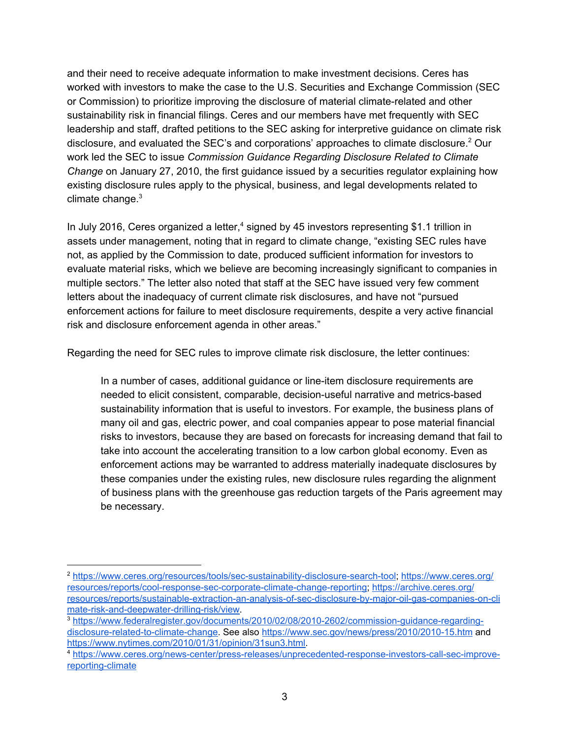and their need to receive adequate information to make investment decisions. Ceres has worked with investors to make the case to the U.S. Securities and Exchange Commission (SEC or Commission) to prioritize improving the disclosure of material climate-related and other sustainability risk in financial filings. Ceres and our members have met frequently with SEC leadership and staff, drafted petitions to the SEC asking for interpretive guidance on climate risk disclosure, and evaluated the SEC's and corporations' approaches to climate disclosure.<sup>2</sup> Our work led the SEC to issue *Commission Guidance Regarding Disclosure Related to Climate Change* on January 27, 2010, the first guidance issued by a securities regulator explaining how existing disclosure rules apply to the physical, business, and legal developments related to climate change.<sup>3</sup>

In July 2016, Ceres organized a letter,<sup>4</sup> signed by 45 investors representing \$1.1 trillion in assets under management, noting that in regard to climate change, "existing SEC rules have not, as applied by the Commission to date, produced sufficient information for investors to evaluate material risks, which we believe are becoming increasingly significant to companies in multiple sectors." The letter also noted that staff at the SEC have issued very few comment letters about the inadequacy of current climate risk disclosures, and have not "pursued enforcement actions for failure to meet disclosure requirements, despite a very active financial risk and disclosure enforcement agenda in other areas."

Regarding the need for SEC rules to improve climate risk disclosure, the letter continues:

In a number of cases, additional guidance or line-item disclosure requirements are needed to elicit consistent, comparable, decision-useful narrative and metrics-based sustainability information that is useful to investors. For example, the business plans of many oil and gas, electric power, and coal companies appear to pose material financial risks to investors, because they are based on forecasts for increasing demand that fail to take into account the accelerating transition to a low carbon global economy. Even as enforcement actions may be warranted to address materially inadequate disclosures by these companies under the existing rules, new disclosure rules regarding the alignment of business plans with the greenhouse gas reduction targets of the Paris agreement may be necessary.

<sup>2</sup> <https://www.ceres.org/resources/tools/sec-sustainability-disclosure-search-tool>; [https://www.ceres.org/](https://www.ceres.org/resources/reports/cool-response-sec-corporate-climate-change-reporting) [resources/reports/cool-response-sec-corporate-climate-change-reporting;](https://www.ceres.org/resources/reports/cool-response-sec-corporate-climate-change-reporting) [https://archive.ceres.org/](https://archive.ceres.org/resources/reports/sustainable-extraction-an-analysis-of-sec-disclosure-by-major-oil-gas-companies-on-climate-risk-and-deepwater-drilling-risk/view) [resources/reports/sustainable-extraction-an-analysis-of-sec-disclosure-by-major-oil-gas-companies-on-cli](https://archive.ceres.org/resources/reports/sustainable-extraction-an-analysis-of-sec-disclosure-by-major-oil-gas-companies-on-climate-risk-and-deepwater-drilling-risk/view) [mate-risk-and-deepwater-drilling-risk/view.](https://archive.ceres.org/resources/reports/sustainable-extraction-an-analysis-of-sec-disclosure-by-major-oil-gas-companies-on-climate-risk-and-deepwater-drilling-risk/view)

<sup>3</sup> [https://www.federalregister.gov/documents/2010/02/08/2010-2602/commission-guidance-regarding](https://www.federalregister.gov/documents/2010/02/08/2010-2602/commission-guidance-regarding-disclosure-related-to-climate-change)[disclosure-related-to-climate-change.](https://www.federalregister.gov/documents/2010/02/08/2010-2602/commission-guidance-regarding-disclosure-related-to-climate-change) See also <https://www.sec.gov/news/press/2010/2010-15.htm> and [https://www.nytimes.com/2010/01/31/opinion/31sun3.html.](https://www.nytimes.com/2010/01/31/opinion/31sun3.html)

<sup>4</sup> [https://www.ceres.org/news-center/press-releases/unprecedented-response-investors-call-sec-improve](https://www.ceres.org/news-center/press-releases/unprecedented-response-investors-call-sec-improve-reporting-climate)[reporting-climate](https://www.ceres.org/news-center/press-releases/unprecedented-response-investors-call-sec-improve-reporting-climate)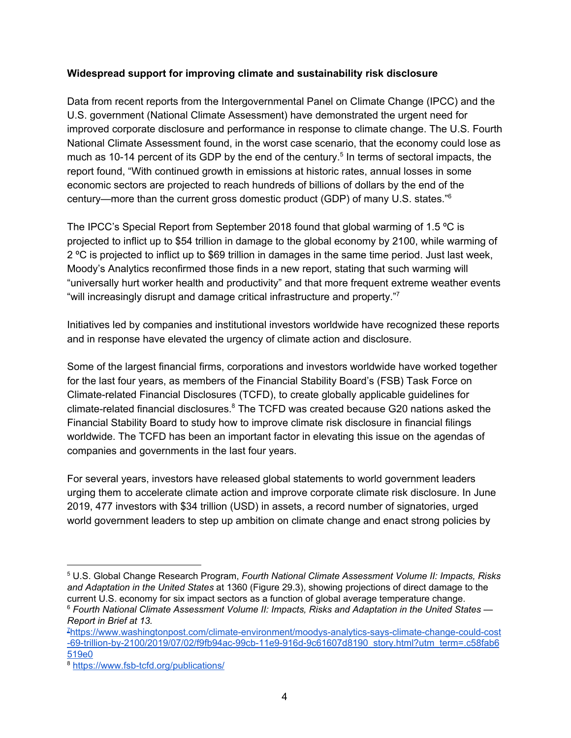### **Widespread support for improving climate and sustainability risk disclosure**

Data from recent reports from the Intergovernmental Panel on Climate Change (IPCC) and the U.S. government (National Climate Assessment) have demonstrated the urgent need for improved corporate disclosure and performance in response to climate change. The U.S. Fourth National Climate Assessment found, in the worst case scenario, that the economy could lose as much as 10-14 percent of its GDP by the end of the century.<sup>5</sup> In terms of sectoral impacts, the report found, "With continued growth in emissions at historic rates, annual losses in some economic sectors are projected to reach hundreds of billions of dollars by the end of the century—more than the current gross domestic product (GDP) of many U.S. states." 6

The IPCC's Special Report from September 2018 found that global warming of 1.5 ºC is projected to inflict up to \$54 trillion in damage to the global economy by 2100, while warming of 2 ºC is projected to inflict up to \$69 trillion in damages in the same time period. Just last week, Moody's Analytics reconfirmed those finds in a new report, stating that such warming will "universally hurt worker health and productivity" and that more frequent extreme weather events "will increasingly disrupt and damage critical infrastructure and property." 7

Initiatives led by companies and institutional investors worldwide have recognized these reports and in response have elevated the urgency of climate action and disclosure.

Some of the largest financial firms, corporations and investors worldwide have worked together for the last four years, as members of the Financial Stability Board's (FSB) Task Force on Climate-related Financial Disclosures (TCFD), to create globally applicable guidelines for climate-related financial disclosures.<sup>8</sup> The TCFD was created because G20 nations asked the Financial Stability Board to study how to improve climate risk disclosure in financial filings worldwide. The TCFD has been an important factor in elevating this issue on the agendas of companies and governments in the last four years.

For several years, investors have released global statements to world government leaders urging them to accelerate climate action and improve corporate climate risk disclosure. In June 2019, 477 investors with \$34 trillion (USD) in assets, a record number of signatories, urged world government leaders to step up ambition on climate change and enact strong policies by

<sup>5</sup> U.S. Global Change Research Program, *Fourth National Climate Assessment Volume II: Impacts, Risks and Adaptation in the United States* at 1360 (Figure 29.3), showing projections of direct damage to the current U.S. economy for six impact sectors as a function of global average temperature change. <sup>6</sup> *Fourth National Climate Assessment Volume II: Impacts, Risks and Adaptation in the United States — Report in Brief at 13.*

<sup>7</sup>[https://www.washingtonpost.com/climate-environment/moodys-analytics-says-climate-change-could-cost](https://www.washingtonpost.com/climate-environment/moodys-analytics-says-climate-change-could-cost-69-trillion-by-2100/2019/07/02/f9fb94ac-99cb-11e9-916d-9c61607d8190_story.html?utm_term=.c58fab6519e0) [-69-trillion-by-2100/2019/07/02/f9fb94ac-99cb-11e9-916d-9c61607d8190\\_story.html?utm\\_term=.c58fab6](https://www.washingtonpost.com/climate-environment/moodys-analytics-says-climate-change-could-cost-69-trillion-by-2100/2019/07/02/f9fb94ac-99cb-11e9-916d-9c61607d8190_story.html?utm_term=.c58fab6519e0) [519e0](https://www.washingtonpost.com/climate-environment/moodys-analytics-says-climate-change-could-cost-69-trillion-by-2100/2019/07/02/f9fb94ac-99cb-11e9-916d-9c61607d8190_story.html?utm_term=.c58fab6519e0)

<sup>8</sup> <https://www.fsb-tcfd.org/publications/>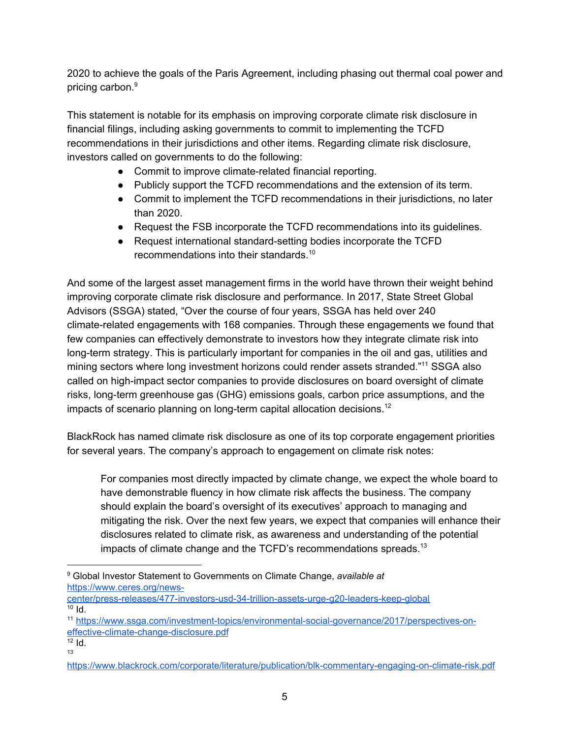2020 to achieve the goals of the Paris Agreement, including phasing out thermal coal power and pricing carbon. 9

This statement is notable for its emphasis on improving corporate climate risk disclosure in financial filings, including asking governments to commit to implementing the TCFD recommendations in their jurisdictions and other items. Regarding climate risk disclosure, investors called on governments to do the following:

- Commit to improve climate-related financial reporting.
- Publicly support the TCFD recommendations and the extension of its term.
- Commit to implement the TCFD recommendations in their jurisdictions, no later than 2020.
- Request the FSB incorporate the TCFD recommendations into its quidelines.
- Request international standard-setting bodies incorporate the TCFD recommendations into their standards.<sup>10</sup>

And some of the largest asset management firms in the world have thrown their weight behind improving corporate climate risk disclosure and performance. In 2017, State Street Global Advisors (SSGA) stated, "Over the course of four years, SSGA has held over 240 climate-related engagements with 168 companies. Through these engagements we found that few companies can effectively demonstrate to investors how they integrate climate risk into long-term strategy. This is particularly important for companies in the oil and gas, utilities and mining sectors where long investment horizons could render assets stranded."<sup>11</sup> SSGA also called on high-impact sector companies to provide disclosures on board oversight of climate risks, long-term greenhouse gas (GHG) emissions goals, carbon price assumptions, and the impacts of scenario planning on long-term capital allocation decisions. 12

BlackRock has named climate risk disclosure as one of its top corporate engagement priorities for several years. The company's approach to engagement on climate risk notes:

For companies most directly impacted by climate change, we expect the whole board to have demonstrable fluency in how climate risk affects the business. The company should explain the board's oversight of its executives' approach to managing and mitigating the risk. Over the next few years, we expect that companies will enhance their disclosures related to climate risk, as awareness and understanding of the potential impacts of climate change and the TCFD's recommendations spreads.<sup>13</sup>

<sup>9</sup> Global Investor Statement to Governments on Climate Change, *available at* [https://www.ceres.org/news-](https://www.ceres.org/news-center/press-releases/477-investors-usd-34-trillion-assets-urge-g20-leaders-keep-global)

[center/press-releases/477-investors-usd-34-trillion-assets-urge-g20-leaders-keep-global](https://www.ceres.org/news-center/press-releases/477-investors-usd-34-trillion-assets-urge-g20-leaders-keep-global)  $10$  Id.

<sup>11</sup> [https://www.ssga.com/investment-topics/environmental-social-governance/2017/perspectives-on](https://www.ssga.com/investment-topics/environmental-social-governance/2017/perspectives-on-effective-climate-change-disclosure.pdf)[effective-climate-change-disclosure.pdf](https://www.ssga.com/investment-topics/environmental-social-governance/2017/perspectives-on-effective-climate-change-disclosure.pdf)

 $12$  Id.

<sup>13</sup>

<https://www.blackrock.com/corporate/literature/publication/blk-commentary-engaging-on-climate-risk.pdf>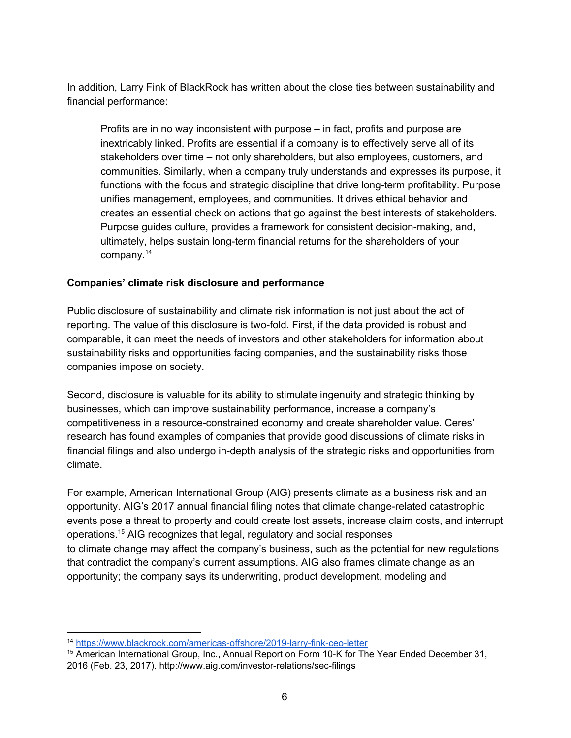In addition, Larry Fink of BlackRock has written about the close ties between sustainability and financial performance:

Profits are in no way inconsistent with purpose – in fact, profits and purpose are inextricably linked. Profits are essential if a company is to effectively serve all of its stakeholders over time – not only shareholders, but also employees, customers, and communities. Similarly, when a company truly understands and expresses its purpose, it functions with the focus and strategic discipline that drive long-term profitability. Purpose unifies management, employees, and communities. It drives ethical behavior and creates an essential check on actions that go against the best interests of stakeholders. Purpose guides culture, provides a framework for consistent decision-making, and, ultimately, helps sustain long-term financial returns for the shareholders of your company. 14

### **Companies' climate risk disclosure and performance**

Public disclosure of sustainability and climate risk information is not just about the act of reporting. The value of this disclosure is two-fold. First, if the data provided is robust and comparable, it can meet the needs of investors and other stakeholders for information about sustainability risks and opportunities facing companies, and the sustainability risks those companies impose on society.

Second, disclosure is valuable for its ability to stimulate ingenuity and strategic thinking by businesses, which can improve sustainability performance, increase a company's competitiveness in a resource-constrained economy and create shareholder value. Ceres' research has found examples of companies that provide good discussions of climate risks in financial filings and also undergo in-depth analysis of the strategic risks and opportunities from climate.

For example, American International Group (AIG) presents climate as a business risk and an opportunity. AIG's 2017 annual financial filing notes that climate change-related catastrophic events pose a threat to property and could create lost assets, increase claim costs, and interrupt operations.<sup>15</sup> AIG recognizes that legal, regulatory and social responses to climate change may affect the company's business, such as the potential for new regulations that contradict the company's current assumptions. AIG also frames climate change as an opportunity; the company says its underwriting, product development, modeling and

<sup>14</sup> <https://www.blackrock.com/americas-offshore/2019-larry-fink-ceo-letter>

<sup>&</sup>lt;sup>15</sup> American International Group, Inc., Annual Report on Form 10-K for The Year Ended December 31, 2016 (Feb. 23, 2017). http://www.aig.com/investor-relations/sec-filings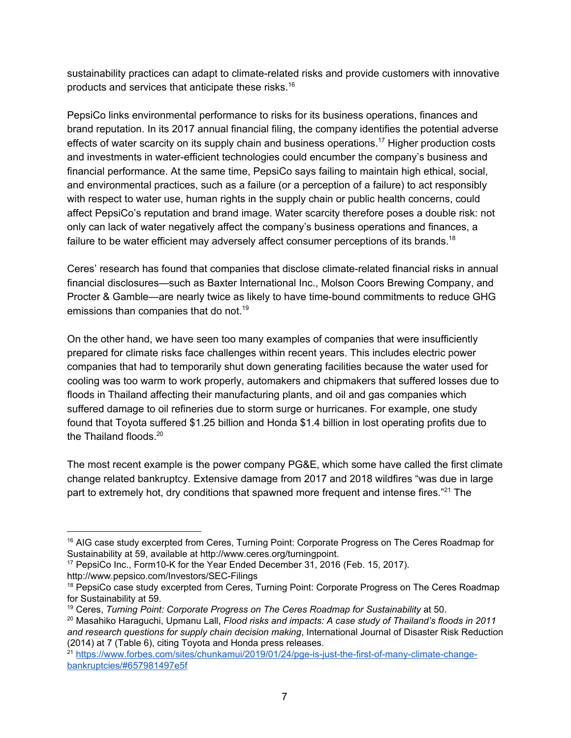sustainability practices can adapt to climate-related risks and provide customers with innovative products and services that anticipate these risks. 16

PepsiCo links environmental performance to risks for its business operations, finances and brand reputation. In its 2017 annual financial filing, the company identifies the potential adverse effects of water scarcity on its supply chain and business operations.<sup>17</sup> Higher production costs and investments in water-efficient technologies could encumber the company's business and financial performance. At the same time, PepsiCo says failing to maintain high ethical, social, and environmental practices, such as a failure (or a perception of a failure) to act responsibly with respect to water use, human rights in the supply chain or public health concerns, could affect PepsiCo's reputation and brand image. Water scarcity therefore poses a double risk: not only can lack of water negatively affect the company's business operations and finances, a failure to be water efficient may adversely affect consumer perceptions of its brands.<sup>18</sup>

Ceres' research has found that companies that disclose climate-related financial risks in annual financial disclosures—such as Baxter International Inc., Molson Coors Brewing Company, and Procter & Gamble—are nearly twice as likely to have time-bound commitments to reduce GHG emissions than companies that do not.<sup>19</sup>

On the other hand, we have seen too many examples of companies that were insufficiently prepared for climate risks face challenges within recent years. This includes electric power companies that had to temporarily shut down generating facilities because the water used for cooling was too warm to work properly, automakers and chipmakers that suffered losses due to floods in Thailand affecting their manufacturing plants, and oil and gas companies which suffered damage to oil refineries due to storm surge or hurricanes. For example, one study found that Toyota suffered \$1.25 billion and Honda \$1.4 billion in lost operating profits due to the Thailand floods. 20

The most recent example is the power company PG&E, which some have called the first climate change related bankruptcy. Extensive damage from 2017 and 2018 wildfires "was due in large part to extremely hot, dry conditions that spawned more frequent and intense fires."<sup>21</sup> The

<sup>&</sup>lt;sup>16</sup> AIG case study excerpted from Ceres, Turning Point: Corporate Progress on The Ceres Roadmap for Sustainability at 59, available at http://www.ceres.org/turningpoint.

<sup>&</sup>lt;sup>17</sup> PepsiCo Inc., Form10-K for the Year Ended December 31, 2016 (Feb. 15, 2017). http://www.pepsico.com/Investors/SEC-Filings

<sup>&</sup>lt;sup>18</sup> PepsiCo case study excerpted from Ceres, Turning Point: Corporate Progress on The Ceres Roadmap for Sustainability at 59.

<sup>19</sup> Ceres, *Turning Point: Corporate Progress on The Ceres Roadmap for Sustainability* at 50.

<sup>20</sup> Masahiko Haraguchi, Upmanu Lall, *Flood risks and impacts: A case study of Thailand's floods in 2011 and research questions for supply chain decision making*, International Journal of Disaster Risk Reduction (2014) at 7 (Table 6), citing Toyota and Honda press releases.

<sup>&</sup>lt;sup>21</sup> [https://www.forbes.com/sites/chunkamui/2019/01/24/pge-is-just-the-first-of-many-climate-change](https://www.forbes.com/sites/chunkamui/2019/01/24/pge-is-just-the-first-of-many-climate-change-bankruptcies/#657981497e5f)[bankruptcies/#657981497e5f](https://www.forbes.com/sites/chunkamui/2019/01/24/pge-is-just-the-first-of-many-climate-change-bankruptcies/#657981497e5f)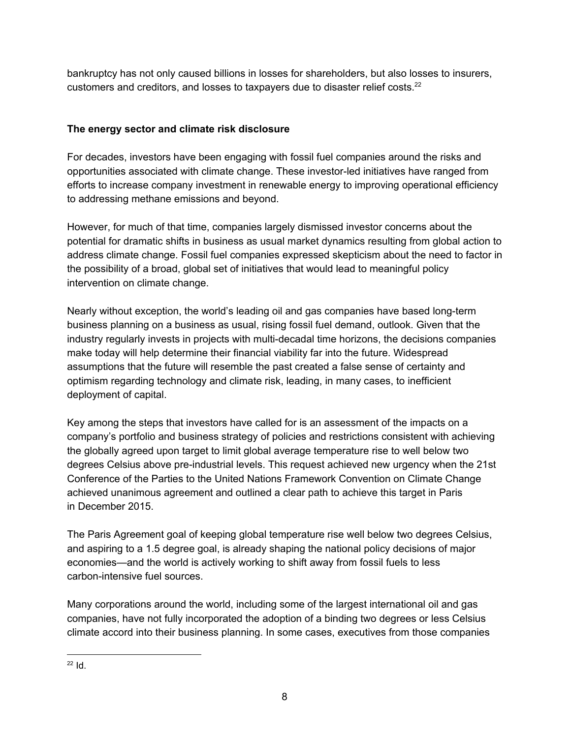bankruptcy has not only caused billions in losses for shareholders, but also losses to insurers, customers and creditors, and losses to taxpayers due to disaster relief costs. $^{22}$ 

# **The energy sector and climate risk disclosure**

For decades, investors have been engaging with fossil fuel companies around the risks and opportunities associated with climate change. These investor-led initiatives have ranged from efforts to increase company investment in renewable energy to improving operational efficiency to addressing methane emissions and beyond.

However, for much of that time, companies largely dismissed investor concerns about the potential for dramatic shifts in business as usual market dynamics resulting from global action to address climate change. Fossil fuel companies expressed skepticism about the need to factor in the possibility of a broad, global set of initiatives that would lead to meaningful policy intervention on climate change.

Nearly without exception, the world's leading oil and gas companies have based long-term business planning on a business as usual, rising fossil fuel demand, outlook. Given that the industry regularly invests in projects with multi-decadal time horizons, the decisions companies make today will help determine their financial viability far into the future. Widespread assumptions that the future will resemble the past created a false sense of certainty and optimism regarding technology and climate risk, leading, in many cases, to inefficient deployment of capital.

Key among the steps that investors have called for is an assessment of the impacts on a company's portfolio and business strategy of policies and restrictions consistent with achieving the globally agreed upon target to limit global average temperature rise to well below two degrees Celsius above pre-industrial levels. This request achieved new urgency when the 21st Conference of the Parties to the United Nations Framework Convention on Climate Change achieved unanimous agreement and outlined a clear path to achieve this target in Paris in December 2015.

The Paris Agreement goal of keeping global temperature rise well below two degrees Celsius, and aspiring to a 1.5 degree goal, is already shaping the national policy decisions of major economies—and the world is actively working to shift away from fossil fuels to less carbon-intensive fuel sources.

Many corporations around the world, including some of the largest international oil and gas companies, have not fully incorporated the adoption of a binding two degrees or less Celsius climate accord into their business planning. In some cases, executives from those companies

 $22$  Id.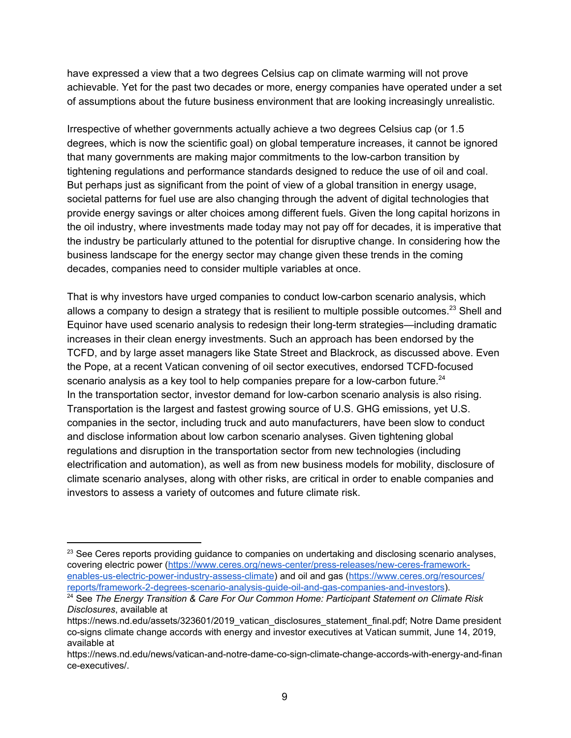have expressed a view that a two degrees Celsius cap on climate warming will not prove achievable. Yet for the past two decades or more, energy companies have operated under a set of assumptions about the future business environment that are looking increasingly unrealistic.

Irrespective of whether governments actually achieve a two degrees Celsius cap (or 1.5 degrees, which is now the scientific goal) on global temperature increases, it cannot be ignored that many governments are making major commitments to the low-carbon transition by tightening regulations and performance standards designed to reduce the use of oil and coal. But perhaps just as significant from the point of view of a global transition in energy usage, societal patterns for fuel use are also changing through the advent of digital technologies that provide energy savings or alter choices among different fuels. Given the long capital horizons in the oil industry, where investments made today may not pay off for decades, it is imperative that the industry be particularly attuned to the potential for disruptive change. In considering how the business landscape for the energy sector may change given these trends in the coming decades, companies need to consider multiple variables at once.

That is why investors have urged companies to conduct low-carbon scenario analysis, which allows a company to design a strategy that is resilient to multiple possible outcomes.<sup>23</sup> Shell and Equinor have used scenario analysis to redesign their long-term strategies—including dramatic increases in their clean energy investments. Such an approach has been endorsed by the TCFD, and by large asset managers like State Street and Blackrock, as discussed above. Even the Pope, at a recent Vatican convening of oil sector executives, endorsed TCFD-focused scenario analysis as a key tool to help companies prepare for a low-carbon future. $^{24}$ In the transportation sector, investor demand for low-carbon scenario analysis is also rising. Transportation is the largest and fastest growing source of U.S. GHG emissions, yet U.S. companies in the sector, including truck and auto manufacturers, have been slow to conduct and disclose information about low carbon scenario analyses. Given tightening global regulations and disruption in the transportation sector from new technologies (including electrification and automation), as well as from new business models for mobility, disclosure of climate scenario analyses, along with other risks, are critical in order to enable companies and investors to assess a variety of outcomes and future climate risk.

<sup>&</sup>lt;sup>23</sup> See Ceres reports providing guidance to companies on undertaking and disclosing scenario analyses, covering electric power [\(https://www.ceres.org/news-center/press-releases/new-ceres-framework](https://www.ceres.org/news-center/press-releases/new-ceres-framework-enables-us-electric-power-industry-assess-climate)[enables-us-electric-power-industry-assess-climate](https://www.ceres.org/news-center/press-releases/new-ceres-framework-enables-us-electric-power-industry-assess-climate)) and oil and gas [\(https://www.ceres.org/resources/](https://www.ceres.org/resources/reports/framework-2-degrees-scenario-analysis-guide-oil-and-gas-companies-and-investors) [reports/framework-2-degrees-scenario-analysis-guide-oil-and-gas-companies-and-investors](https://www.ceres.org/resources/reports/framework-2-degrees-scenario-analysis-guide-oil-and-gas-companies-and-investors)).

<sup>24</sup> See *The Energy Transition & Care For Our Common Home: Participant Statement on Climate Risk Disclosures*, available at

[https://news.nd.edu/assets/323601/2019\\_vatican\\_disclosures\\_statement\\_final.pdf](https://news.nd.edu/assets/323601/2019_vatican_disclosures_statement_final.pdf); Notre Dame president co-signs climate change accords with energy and investor executives at Vatican summit, June 14, 2019, available at

[https://news.nd.edu/news/vatican-and-notre-dame-co-sign-climate-change-accords-with-energy-and-finan](https://news.nd.edu/news/vatican-and-notre-dame-co-sign-climate-change-accords-with-energy-and-finance-executives/) [ce-executives/.](https://news.nd.edu/news/vatican-and-notre-dame-co-sign-climate-change-accords-with-energy-and-finance-executives/)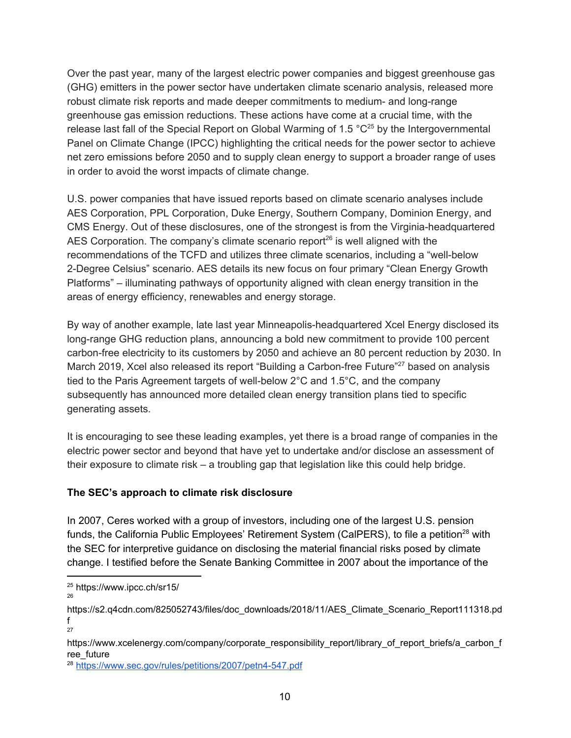Over the past year, many of the largest electric power companies and biggest greenhouse gas (GHG) emitters in the power sector have undertaken climate scenario analysis, released more robust climate risk reports and made deeper commitments to medium- and long-range greenhouse gas emission reductions. These actions have come at a crucial time, with the release last fall of the Special Report on Global Warming of 1.5  $^{\circ}$ C<sup>25</sup> by the Intergovernmental Panel on Climate Change (IPCC) highlighting the critical needs for the power sector to achieve net zero emissions before 2050 and to supply clean energy to support a broader range of uses in order to avoid the worst impacts of climate change.

U.S. power companies that have issued reports based on climate scenario analyses include AES Corporation, PPL Corporation, Duke Energy, Southern Company, Dominion Energy, and CMS Energy. Out of these disclosures, one of the strongest is from the Virginia-headquartered AES Corporation. The company's climate scenario report<sup>26</sup> is well aligned with the recommendations of the [T](https://www.fsb-tcfd.org/)CFD and utilizes three climate scenarios, including a "well-below 2-Degree Celsius" scenario. AES details its new focus on four primary "Clean Energy Growth Platforms" – illuminating pathways of opportunity aligned with clean energy transition in the areas of energy efficiency, renewables and energy storage.

By way of another example, late last year Minneapolis-headquartered Xcel Energy disclosed its long-range GHG reduction plans, announcing a bold new commitment to provide 100 percent carbon-free electricity to its customers by 2050 and achieve an 80 percent reduction by 2030. In March 2019, Xcel also released its report "Building a Carbon-free Future"<sup>27</sup> based on analysis tied to the Paris Agreement targets of well-below 2°C and 1.5°C, and the company subsequently has announced more detailed clean energy transition plans tied to specific generating assets.

It is encouraging to see these leading examples, yet there is a broad range of companies in the electric power sector and beyond that have yet to undertake and/or disclose an assessment of their exposure to climate risk – a troubling gap that legislation like this could help bridge.

# **The SEC's approach to climate risk disclosure**

In 2007, Ceres worked with a group of investors, including one of the largest U.S. pension funds, the California Public Employees' Retirement System (CalPERS), to file a petition<sup>28</sup> with the SEC for interpretive guidance on disclosing the material financial risks posed by climate change. I testified before the Senate Banking Committee in 2007 about the importance of the

26

<sup>28</sup> <https://www.sec.gov/rules/petitions/2007/petn4-547.pdf>

<sup>25</sup> https://www.ipcc.ch/sr15/

https://s2.q4cdn.com/825052743/files/doc\_downloads/2018/11/AES\_Climate\_Scenario\_Report111318.pd f 27

[https://www.xcelenergy.com/company/corporate\\_responsibility\\_report/library\\_of\\_report\\_briefs/a\\_carbon\\_f](https://www.xcelenergy.com/company/corporate_responsibility_report/library_of_report_briefs/a_carbon_free_future) ree future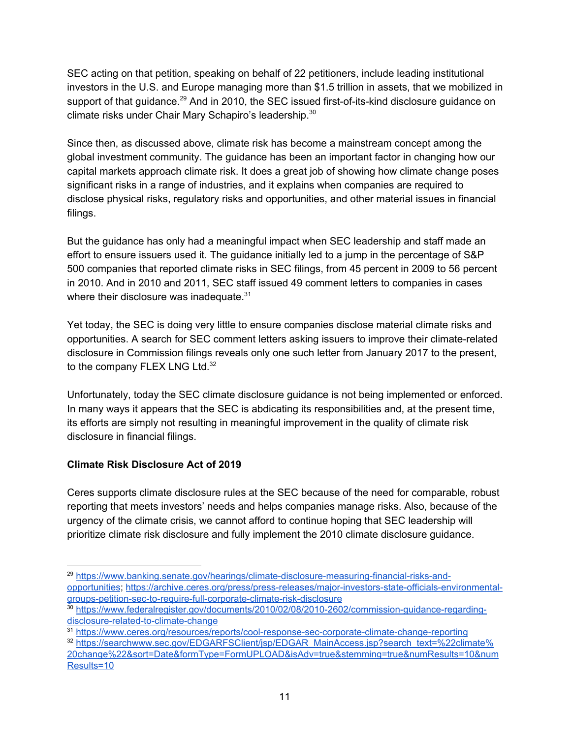SEC acting on that petition, speaking on behalf of 22 petitioners, include leading institutional investors in the U.S. and Europe managing more than \$1.5 trillion in assets, that we mobilized in support of that guidance.<sup>29</sup> And in 2010, the SEC issued first-of-its-kind disclosure guidance on climate risks under Chair Mary Schapiro's leadership. 30

Since then, as discussed above, climate risk has become a mainstream concept among the global investment community. The guidance has been an important factor in changing how our capital markets approach climate risk. It does a great job of showing how climate change poses significant risks in a range of industries, and it explains when companies are required to disclose physical risks, regulatory risks and opportunities, and other material issues in financial filings.

But the guidance has only had a meaningful impact when SEC leadership and staff made an effort to ensure issuers used it. The guidance initially led to a jump in the percentage of S&P 500 companies that reported climate risks in SEC filings, from 45 percent in 2009 to 56 percent in 2010. And in 2010 and 2011, SEC staff issued 49 comment letters to companies in cases where their disclosure was inadequate.<sup>31</sup>

Yet today, the SEC is doing very little to ensure companies disclose material climate risks and opportunities. A search for SEC comment letters asking issuers to improve their climate-related disclosure in Commission filings reveals only one such letter from January 2017 to the present, to the company FLEX LNG Ltd. $32$ 

Unfortunately, today the SEC climate disclosure guidance is not being implemented or enforced. In many ways it appears that the SEC is abdicating its responsibilities and, at the present time, its efforts are simply not resulting in meaningful improvement in the quality of climate risk disclosure in financial filings.

### **Climate Risk Disclosure Act of 2019**

Ceres supports climate disclosure rules at the SEC because of the need for comparable, robust reporting that meets investors' needs and helps companies manage risks. Also, because of the urgency of the climate crisis, we cannot afford to continue hoping that SEC leadership will prioritize climate risk disclosure and fully implement the 2010 climate disclosure guidance.

<sup>&</sup>lt;sup>29</sup> [https://www.banking.senate.gov/hearings/climate-disclosure-measuring-financial-risks-and](https://www.banking.senate.gov/hearings/climate-disclosure-measuring-financial-risks-and-opportunities)[opportunities](https://www.banking.senate.gov/hearings/climate-disclosure-measuring-financial-risks-and-opportunities); [https://archive.ceres.org/press/press-releases/major-investors-state-officials-environmental](https://archive.ceres.org/press/press-releases/major-investors-state-officials-environmental-groups-petition-sec-to-require-full-corporate-climate-risk-disclosure)[groups-petition-sec-to-require-full-corporate-climate-risk-disclosure](https://archive.ceres.org/press/press-releases/major-investors-state-officials-environmental-groups-petition-sec-to-require-full-corporate-climate-risk-disclosure)

<sup>30</sup> [https://www.federalregister.gov/documents/2010/02/08/2010-2602/commission-guidance-regarding](https://www.federalregister.gov/documents/2010/02/08/2010-2602/commission-guidance-regarding-disclosure-related-to-climate-change)[disclosure-related-to-climate-change](https://www.federalregister.gov/documents/2010/02/08/2010-2602/commission-guidance-regarding-disclosure-related-to-climate-change)

<sup>31</sup> <https://www.ceres.org/resources/reports/cool-response-sec-corporate-climate-change-reporting>

<sup>&</sup>lt;sup>32</sup> [https://searchwww.sec.gov/EDGARFSClient/jsp/EDGAR\\_MainAccess.jsp?search\\_text=%22climate%](https://searchwww.sec.gov/EDGARFSClient/jsp/EDGAR_MainAccess.jsp?search_text=%22climate%20change%22&sort=Date&formType=FormUPLOAD&isAdv=true&stemming=true&numResults=10&numResults=10) [20change%22&sort=Date&formType=FormUPLOAD&isAdv=true&stemming=true&numResults=10&num](https://searchwww.sec.gov/EDGARFSClient/jsp/EDGAR_MainAccess.jsp?search_text=%22climate%20change%22&sort=Date&formType=FormUPLOAD&isAdv=true&stemming=true&numResults=10&numResults=10) [Results=10](https://searchwww.sec.gov/EDGARFSClient/jsp/EDGAR_MainAccess.jsp?search_text=%22climate%20change%22&sort=Date&formType=FormUPLOAD&isAdv=true&stemming=true&numResults=10&numResults=10)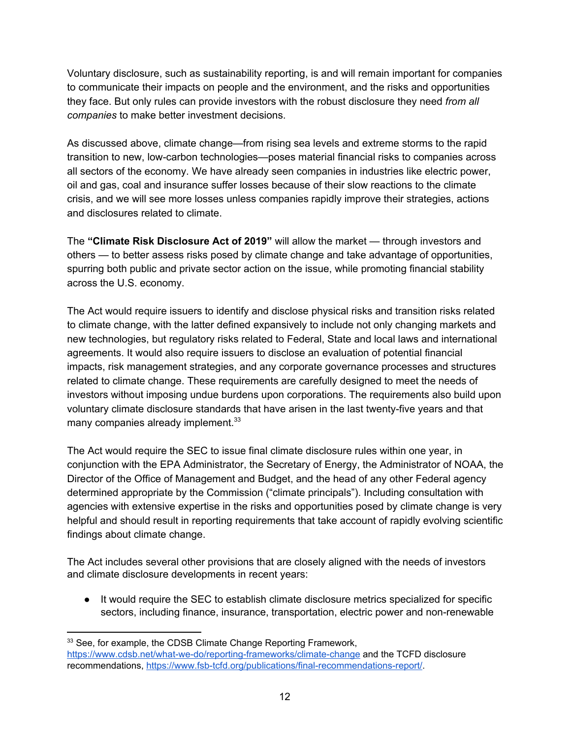Voluntary disclosure, such as sustainability reporting, is and will remain important for companies to communicate their impacts on people and the environment, and the risks and opportunities they face. But only rules can provide investors with the robust disclosure they need *from all companies* to make better investment decisions.

As discussed above, climate change—from rising sea levels and extreme storms to the rapid transition to new, low-carbon technologies—poses material financial risks to companies across all sectors of the economy. We have already seen companies in industries like electric power, oil and gas, coal and insurance suffer losses because of their slow reactions to the climate crisis, and we will see more losses unless companies rapidly improve their strategies, actions and disclosures related to climate.

The **"Climate Risk Disclosure Act of 2019"** will allow the market — through investors and others — to better assess risks posed by climate change and take advantage of opportunities, spurring both public and private sector action on the issue, while promoting financial stability across the U.S. economy.

The Act would require issuers to identify and disclose physical risks and transition risks related to climate change, with the latter defined expansively to include not only changing markets and new technologies, but regulatory risks related to Federal, State and local laws and international agreements. It would also require issuers to disclose an evaluation of potential financial impacts, risk management strategies, and any corporate governance processes and structures related to climate change. These requirements are carefully designed to meet the needs of investors without imposing undue burdens upon corporations. The requirements also build upon voluntary climate disclosure standards that have arisen in the last twenty-five years and that many companies already implement.<sup>33</sup>

The Act would require the SEC to issue final climate disclosure rules within one year, in conjunction with the EPA Administrator, the Secretary of Energy, the Administrator of NOAA, the Director of the Office of Management and Budget, and the head of any other Federal agency determined appropriate by the Commission ("climate principals"). Including consultation with agencies with extensive expertise in the risks and opportunities posed by climate change is very helpful and should result in reporting requirements that take account of rapidly evolving scientific findings about climate change.

The Act includes several other provisions that are closely aligned with the needs of investors and climate disclosure developments in recent years:

● It would require the SEC to establish climate disclosure metrics specialized for specific sectors, including finance, insurance, transportation, electric power and non-renewable

<sup>&</sup>lt;sup>33</sup> See, for example, the CDSB Climate Change Reporting Framework, <https://www.cdsb.net/what-we-do/reporting-frameworks/climate-change> and the TCFD disclosure recommendations, <https://www.fsb-tcfd.org/publications/final-recommendations-report/>.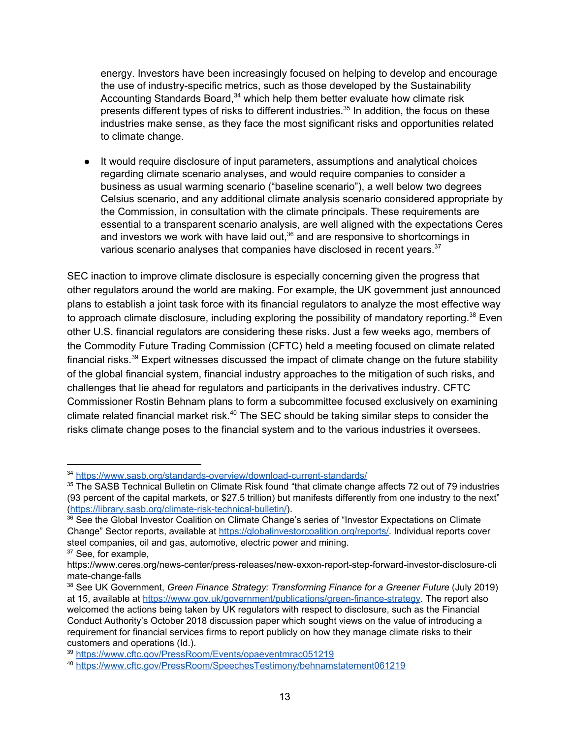energy. Investors have been increasingly focused on helping to develop and encourage the use of industry-specific metrics, such as those developed by the Sustainability Accounting Standards Board, $34$  which help them better evaluate how climate risk presents different types of risks to different industries.<sup>35</sup> In addition, the focus on these industries make sense, as they face the most significant risks and opportunities related to climate change.

It would require disclosure of input parameters, assumptions and analytical choices regarding climate scenario analyses, and would require companies to consider a business as usual warming scenario ("baseline scenario"), a well below two degrees Celsius scenario, and any additional climate analysis scenario considered appropriate by the Commission, in consultation with the climate principals. These requirements are essential to a transparent scenario analysis, are well aligned with the expectations Ceres and investors we work with have laid out, $36$  and are responsive to shortcomings in various scenario analyses that companies have disclosed in recent years. $37$ 

SEC inaction to improve climate disclosure is especially concerning given the progress that other regulators around the world are making. For example, the UK government just announced plans to establish a joint task force with its financial regulators to analyze the most effective way to approach climate disclosure, including exploring the possibility of mandatory reporting.<sup>38</sup> Even other U.S. financial regulators are considering these risks. Just a few weeks ago, members of the Commodity Future Trading Commission (CFTC) held a meeting focused on climate related financial risks.<sup>39</sup> Expert witnesses discussed the impact of climate change on the future stability of the global financial system, financial industry approaches to the mitigation of such risks, and challenges that lie ahead for regulators and participants in the derivatives industry. CFTC Commissioner Rostin Behnam plans to form a subcommittee focused exclusively on examining climate related financial market risk. $40$  The SEC should be taking similar steps to consider the risks climate change poses to the financial system and to the various industries it oversees.

<sup>34</sup> <https://www.sasb.org/standards-overview/download-current-standards/>

<sup>&</sup>lt;sup>35</sup> The SASB Technical Bulletin on Climate Risk found "that climate change affects 72 out of 79 industries (93 percent of the capital markets, or \$27.5 trillion) but manifests differently from one industry to the next" [\(https://library.sasb.org/climate-risk-technical-bulletin/\)](https://library.sasb.org/climate-risk-technical-bulletin/).

<sup>36</sup> See the Global Investor Coalition on Climate Change's series of "Investor Expectations on Climate Change" Sector reports, available at <https://globalinvestorcoalition.org/reports/>. Individual reports cover steel companies, oil and gas, automotive, electric power and mining. <sup>37</sup> See, for example,

[https://www.ceres.org/news-center/press-releases/new-exxon-report-step-forward-investor-disclosure-cli](https://www.ceres.org/news-center/press-releases/new-exxon-report-step-forward-investor-disclosure-climate-change-falls) [mate-change-falls](https://www.ceres.org/news-center/press-releases/new-exxon-report-step-forward-investor-disclosure-climate-change-falls)

<sup>38</sup> See UK Government, *Green Finance Strategy: Transforming Finance for a Greener Future* (July 2019) at 15, available at [https://www.gov.uk/government/publications/green-finance-strategy.](https://www.gov.uk/government/publications/green-finance-strategy) The report also welcomed the actions being taken by UK regulators with respect to disclosure, such as the Financial Conduct Authority's October 2018 discussion paper which sought views on the value of introducing a requirement for financial services firms to report publicly on how they manage climate risks to their customers and operations (Id.).

<sup>39</sup> <https://www.cftc.gov/PressRoom/Events/opaeventmrac051219>

<sup>40</sup> <https://www.cftc.gov/PressRoom/SpeechesTestimony/behnamstatement061219>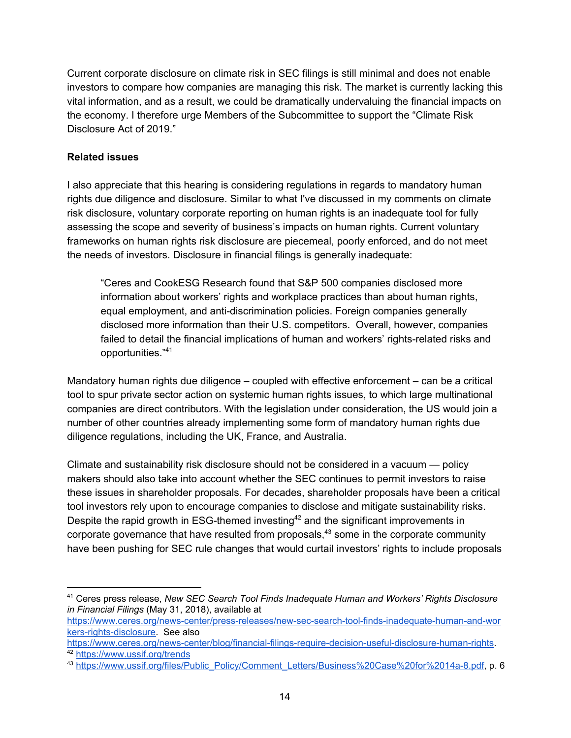Current corporate disclosure on climate risk in SEC filings is still minimal and does not enable investors to compare how companies are managing this risk. The market is currently lacking this vital information, and as a result, we could be dramatically undervaluing the financial impacts on the economy. I therefore urge Members of the Subcommittee to support the "Climate Risk Disclosure Act of 2019."

#### **Related issues**

I also appreciate that this hearing is considering regulations in regards to mandatory human rights due diligence and disclosure. Similar to what I've discussed in my comments on climate risk disclosure, voluntary corporate reporting on human rights is an inadequate tool for fully assessing the scope and severity of business's impacts on human rights. Current voluntary frameworks on human rights risk disclosure are piecemeal, poorly enforced, and do not meet the needs of investors. Disclosure in financial filings is generally inadequate:

"Ceres and CookESG Research found that S&P 500 companies disclosed more information about workers' rights and workplace practices than about human rights, equal employment, and anti-discrimination policies. Foreign companies generally disclosed more information than their U.S. competitors. Overall, however, companies failed to detail the financial implications of human and workers' rights-related risks and opportunities." 41

Mandatory human rights due diligence – coupled with effective enforcement – can be a critical tool to spur private sector action on systemic human rights issues, to which large multinational companies are direct contributors. With the legislation under consideration, the US would join a number of other countries already implementing some form of mandatory human rights due diligence regulations, including the UK, France, and Australia.

Climate and sustainability risk disclosure should not be considered in a vacuum — policy makers should also take into account whether the SEC continues to permit investors to raise these issues in shareholder proposals. For decades, shareholder proposals have been a critical tool investors rely upon to encourage companies to disclose and mitigate sustainability risks. Despite the rapid growth in ESG-themed investing<sup>42</sup> and the significant improvements in corporate governance that have resulted from proposals, $43$  some in the corporate community have been pushing for SEC rule changes that would curtail investors' rights to include proposals

[https://www.ceres.org/news-center/press-releases/new-sec-search-tool-finds-inadequate-human-and-wor](https://www.ceres.org/news-center/press-releases/new-sec-search-tool-finds-inadequate-human-and-workers-rights-disclosure) [kers-rights-disclosure.](https://www.ceres.org/news-center/press-releases/new-sec-search-tool-finds-inadequate-human-and-workers-rights-disclosure) See also

<sup>41</sup> Ceres press release, *New SEC Search Tool Finds Inadequate Human and Workers' Rights Disclosure in Financial Filings* (May 31, 2018), available at

[https://www.ceres.org/news-center/blog/financial-filings-require-decision-useful-disclosure-human-rights.](https://www.ceres.org/news-center/blog/financial-filings-require-decision-useful-disclosure-human-rights) <sup>42</sup> <https://www.ussif.org/trends>

<sup>43</sup> [https://www.ussif.org/files/Public\\_Policy/Comment\\_Letters/Business%20Case%20for%2014a-8.pdf](https://www.ussif.org/files/Public_Policy/Comment_Letters/Business%20Case%20for%2014a-8.pdf), p. 6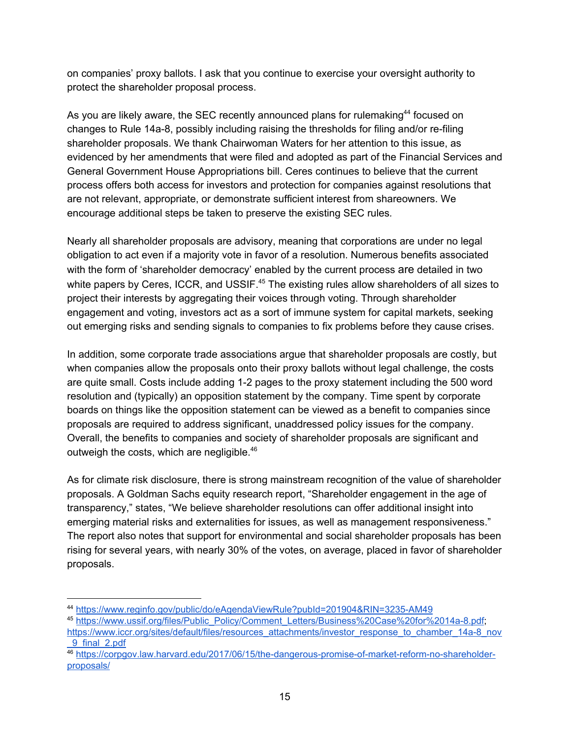on companies' proxy ballots. I ask that you continue to exercise your oversight authority to protect the shareholder proposal process.

As you are likely aware, the SEC recently announced plans for rulemaking<sup>44</sup> focused on changes to Rule 14a-8, possibly including raising the thresholds for filing and/or re-filing shareholder proposals. We thank Chairwoman Waters for her attention to this issue, as evidenced by her amendments that were filed and adopted as part of the Financial Services and General Government House Appropriations bill. Ceres continues to believe that the current process offers both access for investors and protection for companies against resolutions that are not relevant, appropriate, or demonstrate sufficient interest from shareowners. We encourage additional steps be taken to preserve the existing SEC rules*.*

Nearly all shareholder proposals are advisory, meaning that corporations are under no legal obligation to act even if a majority vote in favor of a resolution. Numerous benefits associated with the form of 'shareholder democracy' enabled by the current process are detailed in two white papers by Ceres, ICCR, and USSIF. $45$  The existing rules allow shareholders of all sizes to project their interests by aggregating their voices through voting. Through shareholder engagement and voting, investors act as a sort of immune system for capital markets, seeking out emerging risks and sending signals to companies to fix problems before they cause crises.

In addition, some corporate trade associations argue that shareholder proposals are costly, but when companies allow the proposals onto their proxy ballots without legal challenge, the costs are quite small. Costs include adding 1-2 pages to the proxy statement including the 500 word resolution and (typically) an opposition statement by the company. Time spent by corporate boards on things like the opposition statement can be viewed as a benefit to companies since proposals are required to address significant, unaddressed policy issues for the company. Overall, the benefits to companies and society of shareholder proposals are significant and outweigh the costs, which are negligible.<sup>46</sup>

As for climate risk disclosure, there is strong mainstream recognition of the value of shareholder proposals. A Goldman Sachs equity research report, "Shareholder engagement in the age of transparency," states, "We believe shareholder resolutions can offer additional insight into emerging material risks and externalities for issues, as well as management responsiveness." The report also notes that support for environmental and social shareholder proposals has been rising for several years, with nearly 30% of the votes, on average, placed in favor of shareholder proposals.

<sup>44</sup> <https://www.reginfo.gov/public/do/eAgendaViewRule?pubId=201904&RIN=3235-AM49>

<sup>45</sup> [https://www.ussif.org/files/Public\\_Policy/Comment\\_Letters/Business%20Case%20for%2014a-8.pdf](https://www.ussif.org/files/Public_Policy/Comment_Letters/Business%20Case%20for%2014a-8.pdf);

[https://www.iccr.org/sites/default/files/resources\\_attachments/investor\\_response\\_to\\_chamber\\_14a-8\\_nov](https://www.iccr.org/sites/default/files/resources_attachments/investor_response_to_chamber_14a-8_nov_9_final_2.pdf) [\\_9\\_final\\_2.pdf](https://www.iccr.org/sites/default/files/resources_attachments/investor_response_to_chamber_14a-8_nov_9_final_2.pdf)

<sup>46</sup> [https://corpgov.law.harvard.edu/2017/06/15/the-dangerous-promise-of-market-reform-no-shareholder](https://corpgov.law.harvard.edu/2017/06/15/the-dangerous-promise-of-market-reform-no-shareholder-proposals/)[proposals/](https://corpgov.law.harvard.edu/2017/06/15/the-dangerous-promise-of-market-reform-no-shareholder-proposals/)